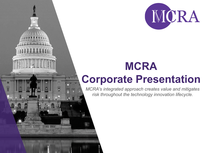

# **MCRA Corporate Presentation**

*MCRA's integrated approach creates value and mitigates risk throughout the technology innovation lifecycle.*

**REAL PARTS** 

**THE HUIL**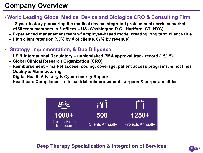# **Company Overview**

#### •**World Leading Global Medical Device and Biologics CRO & Consulting Firm**

- **18-year history pioneering the medical device integrated professional services market**
- **>150 team members in 3 offices – US (Washington D.C.; Hartford, CT; NYC)**
- **Experienced management team w/ employee-based model creating long term client value**
- **High client retention (90% by # of clients, 87% by revenue)**
- **Strategy, Implementation, & Due Diligence**
	- **US & International Regulatory – unblemished PMA approval track record (15/15)**
	- **Global Clinical Research Organization (CRO)**
	- **Reimbursement – market access, coding, coverage, patient access programs, & hot lines**
	- **Quality & Manufacturing**
	- **Digital Health Advisory & Cybersecurity Support**
	- **Healthcare Compliance – clinical trial, reimbursement, surgeon & corporate ethics**



#### **Deep Therapy Specialization & Integration of Services**

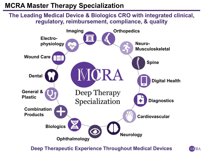# **MCRA Master Therapy Specialization**

**The Leading Medical Device & Biologics CRO with integrated clinical, regulatory, reimbursement, compliance, & quality**



**Deep Therapeutic Experience Throughout Medical Devices**

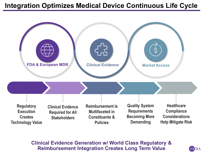### **Integration Optimizes Medical Device Continuous Life Cycle**



#### **Clinical Evidence Generation w/ World Class Regulatory & Reimbursement Integration Creates Long Term Value**